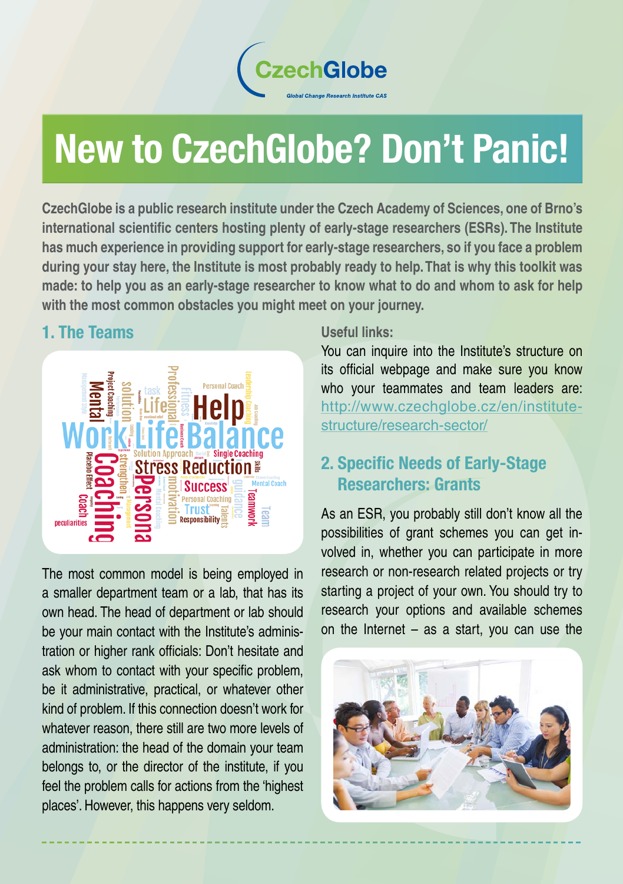

# New to CzechGlobe? Don't Panic!

**CzechGlobe is a public research institute under the Czech Academy of Sciences, one of Brno's international scientific centers hosting plenty of early-stage researchers (ESRs). The Institute has much experience in providing support for early-stage researchers, so if you face a problem during your stay here, the Institute is most probably ready to help. That is why this toolkit was made: to help you as an early-stage researcher to know what to do and whom to ask for help with the most common obstacles you might meet on your journey.**

## 1. The Teams



The most common model is being employed in a smaller department team or a lab, that has its own head. The head of department or lab should be your main contact with the Institute's administration or higher rank officials: Don't hesitate and ask whom to contact with your specific problem, be it administrative, practical, or whatever other kind of problem. If this connection doesn't work for whatever reason, there still are two more levels of administration: the head of the domain your team belongs to, or the director of the institute, if you feel the problem calls for actions from the 'highest places'. However, this happens very seldom.

#### **Useful links:**

You can inquire into the Institute's structure on its official webpage and make sure you know who your teammates and team leaders are: http://www.czechglobe.cz/en/institutestructure/research-sector/

# 2. Specific Needs of Early-Stage Researchers: Grants

As an ESR, you probably still don't know all the possibilities of grant schemes you can get involved in, whether you can participate in more research or non-research related projects or try starting a project of your own. You should try to research your options and available schemes on the Internet – as a start, you can use the

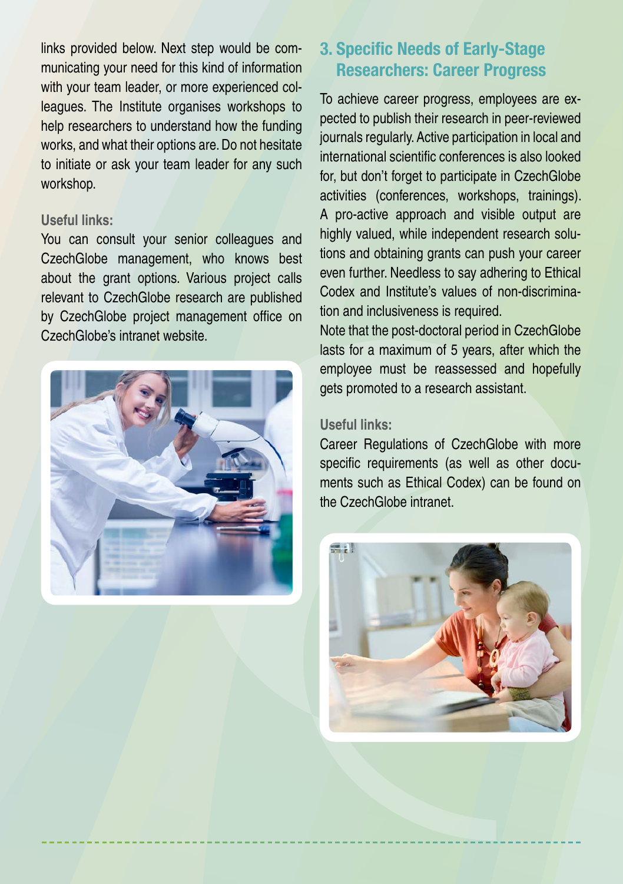links provided below. Next step would be communicating your need for this kind of information with your team leader, or more experienced colleagues. The Institute organises workshops to help researchers to understand how the funding works, and what their options are. Do not hesitate to initiate or ask your team leader for any such workshop.

#### **Useful links:**

You can consult your senior colleagues and CzechGlobe management, who knows best about the grant options. Various project calls relevant to CzechGlobe research are published by CzechGlobe project management office on CzechGlobe's intranet website.



## 3. Specific Needs of Early-Stage Researchers: Career Progress

To achieve career progress, employees are expected to publish their research in peer-reviewed journals regularly. Active participation in local and international scientific conferences is also looked for, but don't forget to participate in CzechGlobe activities (conferences, workshops, trainings). A pro-active approach and visible output are highly valued, while independent research solutions and obtaining grants can push your career even further. Needless to say adhering to Ethical Codex and Institute's values of non-discrimination and inclusiveness is required.

Note that the post-doctoral period in CzechGlobe lasts for a maximum of 5 years, after which the employee must be reassessed and hopefully gets promoted to a research assistant.

#### **Useful links:**

Career Regulations of CzechGlobe with more specific requirements (as well as other documents such as Ethical Codex) can be found on the CzechGlobe intranet.

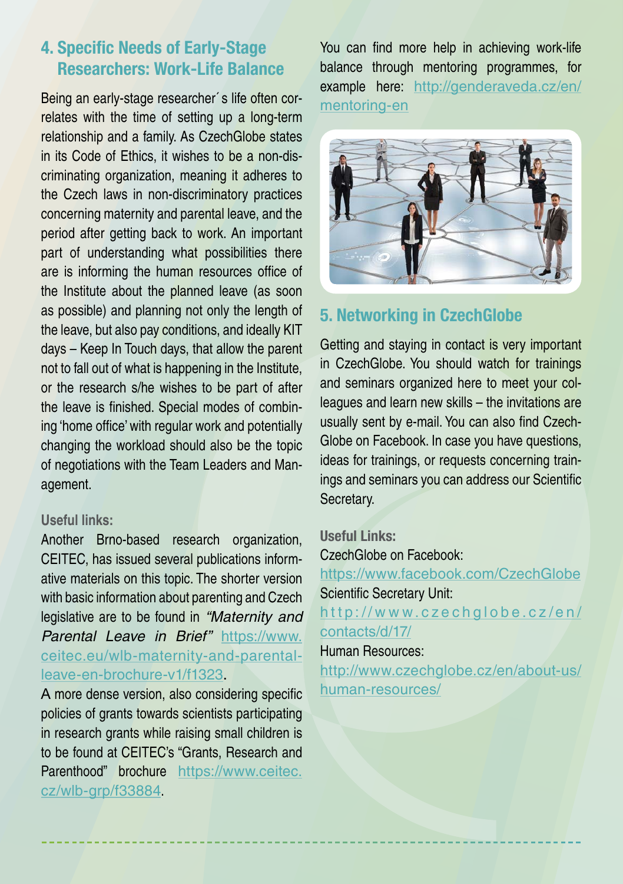## 4. Specific Needs of Early-Stage Researchers: Work-Life Balance

Being an early-stage researcher´s life often correlates with the time of setting up a long-term relationship and a family. As CzechGlobe states in its Code of Ethics, it wishes to be a non-discriminating organization, meaning it adheres to the Czech laws in non-discriminatory practices concerning maternity and parental leave, and the period after getting back to work. An important part of understanding what possibilities there are is informing the human resources office of the Institute about the planned leave (as soon as possible) and planning not only the length of the leave, but also pay conditions, and ideally KIT days – Keep In Touch days, that allow the parent not to fall out of what is happening in the Institute, or the research s/he wishes to be part of after the leave is finished. Special modes of combining 'home office' with regular work and potentially changing the workload should also be the topic of negotiations with the Team Leaders and Management.

#### **Useful links:**

Another Brno-based research organization, CEITEC, has issued several publications informative materials on this topic. The shorter version with basic information about parenting and Czech legislative are to be found in "Maternity and Parental Leave in Brief" [https://www.](https://www.ceitec.eu/wlb-maternity-and-parental-leave-en-brochure-v1/f1323) [ceitec.eu/wlb-maternity-and-parental](https://www.ceitec.eu/wlb-maternity-and-parental-leave-en-brochure-v1/f1323)[leave-en-brochure-v1/f1323](https://www.ceitec.eu/wlb-maternity-and-parental-leave-en-brochure-v1/f1323).

A more dense version, also considering specific policies of grants towards scientists participating in research grants while raising small children is to be found at CEITEC's "Grants, Research and Parenthood" brochure [https://www.ceitec.](https://www.ceitec.cz/wlb-grp/f33884) [cz/wlb-grp/f33884](https://www.ceitec.cz/wlb-grp/f33884).

You can find more help in achieving work-life balance through mentoring programmes, for example here: [http://genderaveda.cz/en/](http://genderaveda.cz/en/mentoring-en/) [mentoring-en](http://genderaveda.cz/en/mentoring-en/)



# 5. Networking in CzechGlobe

Getting and staying in contact is very important in CzechGlobe. You should watch for trainings and seminars organized here to meet your colleagues and learn new skills – the invitations are usually sent by e-mail. You can also find Czech-Globe on Facebook. In case you have questions, ideas for trainings, or requests concerning trainings and seminars you can address our Scientific Secretary.

Useful Links:

CzechGlobe on Facebook: [https://www.facebook.com/CzechGlobe](https://www.facebook.com/CzechGlobe/) Scientific Secretary Unit: [http://www.czechglobe.cz/en/](http://www.czechglobe.cz/en/contacts/d/17/) [contacts/d/17/](http://www.czechglobe.cz/en/contacts/d/17/)

#### Human Resources:

[http://www.czechglobe.cz/en/about-us/](http://www.czechglobe.cz/en/about-us/human-resources/) [human-resources/](http://www.czechglobe.cz/en/about-us/human-resources/)